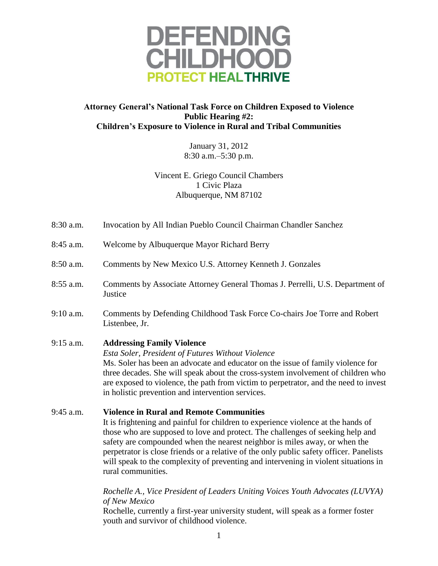

# **Attorney General's National Task Force on Children Exposed to Violence Public Hearing #2: Children's Exposure to Violence in Rural and Tribal Communities**

January 31, 2012 8:30 a.m.–5:30 p.m.

Vincent E. Griego Council Chambers 1 Civic Plaza Albuquerque, NM 87102

| $8:45$ a.m. | Welcome by Albuquerque Mayor Richard Berry               |
|-------------|----------------------------------------------------------|
| $8:50$ a.m. | Comments by New Mexico U.S. Attorney Kenneth J. Gonzales |

8:30 a.m. Invocation by All Indian Pueblo Council Chairman Chandler Sanchez

- 8:55 a.m. Comments by Associate Attorney General Thomas J. Perrelli, U.S. Department of **Justice**
- 9:10 a.m. Comments by Defending Childhood Task Force Co-chairs Joe Torre and Robert Listenbee, Jr.

# 9:15 a.m. **Addressing Family Violence**

*Esta Soler, President of Futures Without Violence*  Ms. Soler has been an advocate and educator on the issue of family violence for three decades. She will speak about the cross-system involvement of children who are exposed to violence, the path from victim to perpetrator, and the need to invest in holistic prevention and intervention services.

9:45 a.m. **Violence in Rural and Remote Communities**  It is frightening and painful for children to experience violence at the hands of those who are supposed to love and protect. The challenges of seeking help and safety are compounded when the nearest neighbor is miles away, or when the perpetrator is close friends or a relative of the only public safety officer. Panelists will speak to the complexity of preventing and intervening in violent situations in rural communities.

# *Rochelle A., Vice President of Leaders Uniting Voices Youth Advocates (LUVYA) of New Mexico*

Rochelle, currently a first-year university student, will speak as a former foster youth and survivor of childhood violence.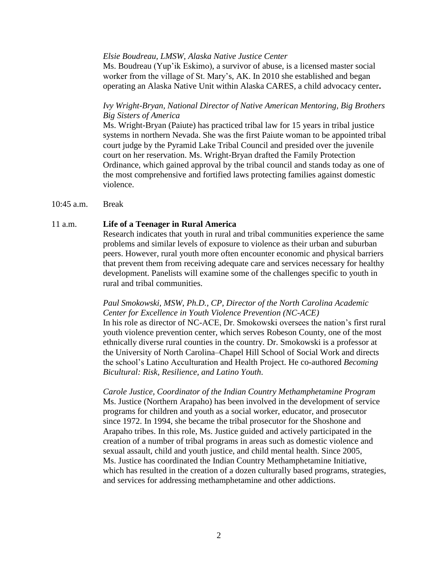### *Elsie Boudreau, LMSW, Alaska Native Justice Center*

Ms. Boudreau (Yup'ik Eskimo), a survivor of abuse, is a licensed master social worker from the village of St. Mary's, AK. In 2010 she established and began operating an Alaska Native Unit within Alaska CARES, a child advocacy center**.** 

## *Ivy Wright-Bryan, National Director of Native American Mentoring, Big Brothers Big Sisters of America*

Ms. Wright-Bryan (Paiute) has practiced tribal law for 15 years in tribal justice systems in northern Nevada. She was the first Paiute woman to be appointed tribal court judge by the Pyramid Lake Tribal Council and presided over the juvenile court on her reservation. Ms. Wright-Bryan drafted the Family Protection Ordinance, which gained approval by the tribal council and stands today as one of the most comprehensive and fortified laws protecting families against domestic violence.

10:45 a.m. Break

#### 11 a.m. **Life of a Teenager in Rural America**

Research indicates that youth in rural and tribal communities experience the same problems and similar levels of exposure to violence as their urban and suburban peers. However, rural youth more often encounter economic and physical barriers that prevent them from receiving adequate care and services necessary for healthy development. Panelists will examine some of the challenges specific to youth in rural and tribal communities.

## *Paul Smokowski, MSW, Ph.D., CP, Director of the North Carolina Academic Center for Excellence in Youth Violence Prevention (NC-ACE)*

In his role as director of NC-ACE, Dr. Smokowski oversees the nation's first rural youth violence prevention center, which serves Robeson County, one of the most ethnically diverse rural counties in the country. Dr. Smokowski is a professor at the University of North Carolina–Chapel Hill School of Social Work and directs the school's Latino Acculturation and Health Project. He co-authored *Becoming Bicultural: Risk, Resilience, and Latino Youth*.

*Carole Justice, Coordinator of the Indian Country Methamphetamine Program*  Ms. Justice (Northern Arapaho) has been involved in the development of service programs for children and youth as a social worker, educator, and prosecutor since 1972. In 1994, she became the tribal prosecutor for the Shoshone and Arapaho tribes. In this role, Ms. Justice guided and actively participated in the creation of a number of tribal programs in areas such as domestic violence and sexual assault, child and youth justice, and child mental health. Since 2005, Ms. Justice has coordinated the Indian Country Methamphetamine Initiative, which has resulted in the creation of a dozen culturally based programs, strategies, and services for addressing methamphetamine and other addictions.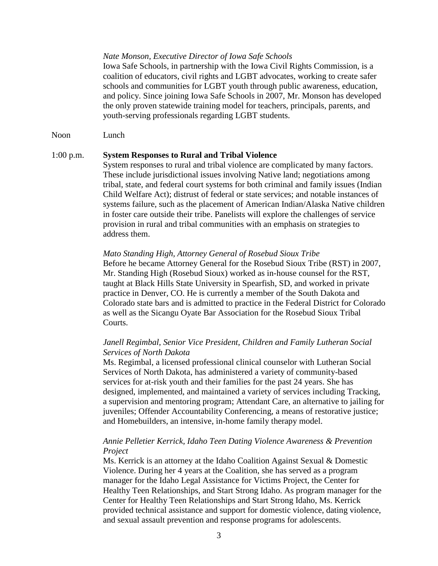#### *Nate Monson, Executive Director of Iowa Safe Schools*

Iowa Safe Schools, in partnership with the Iowa Civil Rights Commission, is a coalition of educators, civil rights and LGBT advocates, working to create safer schools and communities for LGBT youth through public awareness, education, and policy. Since joining Iowa Safe Schools in 2007, Mr. Monson has developed the only proven statewide training model for teachers, principals, parents, and youth-serving professionals regarding LGBT students.

Noon Lunch

#### 1:00 p.m. **System Responses to Rural and Tribal Violence**

System responses to rural and tribal violence are complicated by many factors. These include jurisdictional issues involving Native land; negotiations among tribal, state, and federal court systems for both criminal and family issues (Indian Child Welfare Act); distrust of federal or state services; and notable instances of systems failure, such as the placement of American Indian/Alaska Native children in foster care outside their tribe. Panelists will explore the challenges of service provision in rural and tribal communities with an emphasis on strategies to address them.

#### *Mato Standing High, Attorney General of Rosebud Sioux Tribe*

Before he became Attorney General for the Rosebud Sioux Tribe (RST) in 2007, Mr. Standing High (Rosebud Sioux) worked as in-house counsel for the RST, taught at Black Hills State University in Spearfish, SD, and worked in private practice in Denver, CO. He is currently a member of the South Dakota and Colorado state bars and is admitted to practice in the Federal District for Colorado as well as the Sicangu Oyate Bar Association for the Rosebud Sioux Tribal Courts.

## *Janell Regimbal, Senior Vice President, Children and Family Lutheran Social Services of North Dakota*

Ms. Regimbal, a licensed professional clinical counselor with Lutheran Social Services of North Dakota, has administered a variety of community-based services for at-risk youth and their families for the past 24 years. She has designed, implemented, and maintained a variety of services including Tracking, a supervision and mentoring program; Attendant Care, an alternative to jailing for juveniles; Offender Accountability Conferencing, a means of restorative justice; and Homebuilders, an intensive, in-home family therapy model.

#### *Annie Pelletier Kerrick, Idaho Teen Dating Violence Awareness & Prevention Project*

Ms. Kerrick is an attorney at the Idaho Coalition Against Sexual & Domestic Violence. During her 4 years at the Coalition, she has served as a program manager for the Idaho Legal Assistance for Victims Project, the Center for Healthy Teen Relationships, and Start Strong Idaho. As program manager for the Center for Healthy Teen Relationships and Start Strong Idaho, Ms. Kerrick provided technical assistance and support for domestic violence, dating violence, and sexual assault prevention and response programs for adolescents.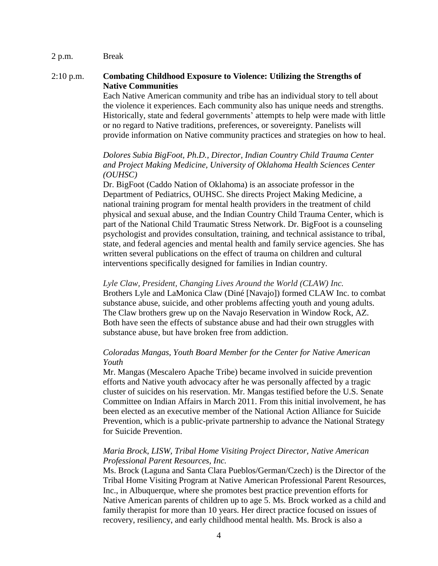#### 2 p.m. Break

# 2:10 p.m. **Combating Childhood Exposure to Violence: Utilizing the Strengths of Native Communities**

Each Native American community and tribe has an individual story to tell about the violence it experiences. Each community also has unique needs and strengths. Historically, state and federal governments' attempts to help were made with little or no regard to Native traditions, preferences, or sovereignty. Panelists will provide information on Native community practices and strategies on how to heal.

# *Dolores Subia BigFoot, Ph.D., Director, Indian Country Child Trauma Center and Project Making Medicine, University of Oklahoma Health Sciences Center (OUHSC)*

Dr. BigFoot (Caddo Nation of Oklahoma) is an associate professor in the Department of Pediatrics, OUHSC. She directs Project Making Medicine, a national training program for mental health providers in the treatment of child physical and sexual abuse, and the Indian Country Child Trauma Center, which is part of the National Child Traumatic Stress Network. Dr. BigFoot is a counseling psychologist and provides consultation, training, and technical assistance to tribal, state, and federal agencies and mental health and family service agencies. She has written several publications on the effect of trauma on children and cultural interventions specifically designed for families in Indian country.

#### *Lyle Claw, President, Changing Lives Around the World (CLAW) Inc.*

Brothers Lyle and LaMonica Claw (Diné [Navajo]) formed CLAW Inc. to combat substance abuse, suicide, and other problems affecting youth and young adults. The Claw brothers grew up on the Navajo Reservation in Window Rock, AZ. Both have seen the effects of substance abuse and had their own struggles with substance abuse, but have broken free from addiction.

# *Coloradas Mangas, Youth Board Member for the Center for Native American Youth*

Mr. Mangas (Mescalero Apache Tribe) became involved in suicide prevention efforts and Native youth advocacy after he was personally affected by a tragic cluster of suicides on his reservation. Mr. Mangas testified before the U.S. Senate Committee on Indian Affairs in March 2011. From this initial involvement, he has been elected as an executive member of the National Action Alliance for Suicide Prevention, which is a public-private partnership to advance the National Strategy for Suicide Prevention.

## *Maria Brock*, *LISW, Tribal Home Visiting Project Director, Native American Professional Parent Resources, Inc.*

Ms. Brock (Laguna and Santa Clara Pueblos/German/Czech) is the Director of the Tribal Home Visiting Program at Native American Professional Parent Resources, Inc., in Albuquerque, where she promotes best practice prevention efforts for Native American parents of children up to age 5. Ms. Brock worked as a child and family therapist for more than 10 years. Her direct practice focused on issues of recovery, resiliency, and early childhood mental health. Ms. Brock is also a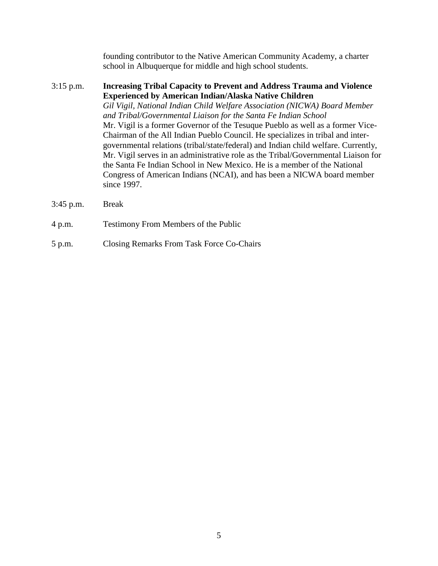founding contributor to the Native American Community Academy, a charter school in Albuquerque for middle and high school students.

- 3:15 p.m. **Increasing Tribal Capacity to Prevent and Address Trauma and Violence Experienced by American Indian/Alaska Native Children** *Gil Vigil, National Indian Child Welfare Association (NICWA) Board Member and Tribal/Governmental Liaison for the Santa Fe Indian School* Mr. Vigil is a former Governor of the Tesuque Pueblo as well as a former Vice-Chairman of the All Indian Pueblo Council. He specializes in tribal and intergovernmental relations (tribal/state/federal) and Indian child welfare. Currently, Mr. Vigil serves in an administrative role as the Tribal/Governmental Liaison for the Santa Fe Indian School in New Mexico. He is a member of the National Congress of American Indians (NCAI), and has been a NICWA board member since 1997.
- 3:45 p.m. Break
- 4 p.m. Testimony From Members of the Public
- 5 p.m. Closing Remarks From Task Force Co-Chairs